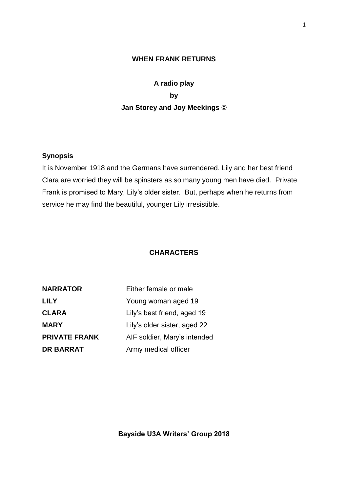## **WHEN FRANK RETURNS**

# **A radio play by Jan Storey and Joy Meekings ©**

## **Synopsis**

It is November 1918 and the Germans have surrendered. Lily and her best friend Clara are worried they will be spinsters as so many young men have died. Private Frank is promised to Mary, Lily's older sister. But, perhaps when he returns from service he may find the beautiful, younger Lily irresistible.

### **CHARACTERS**

| <b>NARRATOR</b>      | Either female or male        |
|----------------------|------------------------------|
| <b>LILY</b>          | Young woman aged 19          |
| <b>CLARA</b>         | Lily's best friend, aged 19  |
| <b>MARY</b>          | Lily's older sister, aged 22 |
| <b>PRIVATE FRANK</b> | AIF soldier, Mary's intended |
| <b>DR BARRAT</b>     | Army medical officer         |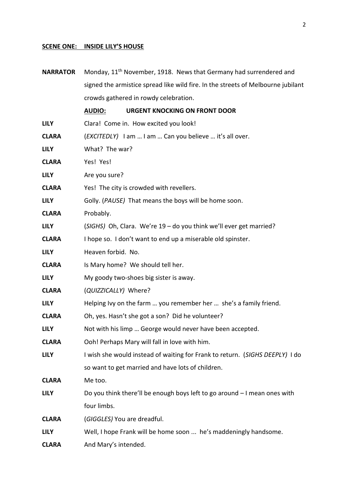## **SCENE ONE: INSIDE LILY'S HOUSE**

| <b>NARRATOR</b> | Monday, 11 <sup>th</sup> November, 1918. News that Germany had surrendered and   |
|-----------------|----------------------------------------------------------------------------------|
|                 | signed the armistice spread like wild fire. In the streets of Melbourne jubilant |
|                 | crowds gathered in rowdy celebration.                                            |
|                 | <b>URGENT KNOCKING ON FRONT DOOR</b><br><b>AUDIO:</b>                            |
| <b>LILY</b>     | Clara! Come in. How excited you look!                                            |
| <b>CLARA</b>    | (EXCITEDLY) I am  I am  Can you believe  it's all over.                          |
| <b>LILY</b>     | What? The war?                                                                   |
| <b>CLARA</b>    | Yes! Yes!                                                                        |
| <b>LILY</b>     | Are you sure?                                                                    |
| <b>CLARA</b>    | Yes! The city is crowded with revellers.                                         |
| <b>LILY</b>     | Golly. (PAUSE) That means the boys will be home soon.                            |
| <b>CLARA</b>    | Probably.                                                                        |
| <b>LILY</b>     | (SIGHS) Oh, Clara. We're 19 - do you think we'll ever get married?               |
| <b>CLARA</b>    | I hope so. I don't want to end up a miserable old spinster.                      |
| <b>LILY</b>     | Heaven forbid. No.                                                               |
| <b>CLARA</b>    | Is Mary home? We should tell her.                                                |
| <b>LILY</b>     | My goody two-shoes big sister is away.                                           |
| <b>CLARA</b>    | (QUIZZICALLY) Where?                                                             |
| <b>LILY</b>     | Helping Ivy on the farm  you remember her  she's a family friend.                |
| <b>CLARA</b>    | Oh, yes. Hasn't she got a son? Did he volunteer?                                 |
| LILY            | Not with his limp  George would never have been accepted.                        |
| <b>CLARA</b>    | Ooh! Perhaps Mary will fall in love with him.                                    |
| <b>LILY</b>     | I wish she would instead of waiting for Frank to return. (SIGHS DEEPLY) I do     |
|                 | so want to get married and have lots of children.                                |
| <b>CLARA</b>    | Me too.                                                                          |
| <b>LILY</b>     | Do you think there'll be enough boys left to go around - I mean ones with        |
|                 | four limbs.                                                                      |
| <b>CLARA</b>    | (GIGGLES) You are dreadful.                                                      |
| <b>LILY</b>     | Well, I hope Frank will be home soon  he's maddeningly handsome.                 |
| <b>CLARA</b>    | And Mary's intended.                                                             |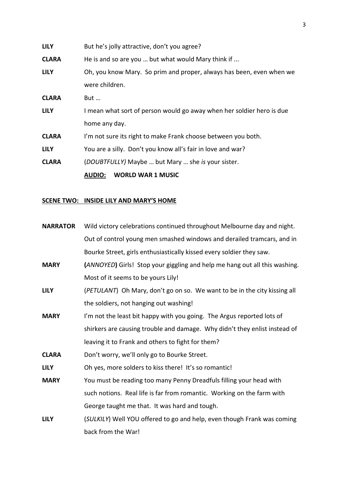|              | <b>WORLD WAR 1 MUSIC</b><br><b>AUDIO:</b>                             |
|--------------|-----------------------------------------------------------------------|
| <b>CLARA</b> | (DOUBTFULLY) Maybe  but Mary  she is your sister.                     |
| <b>LILY</b>  | You are a silly. Don't you know all's fair in love and war?           |
| <b>CLARA</b> | I'm not sure its right to make Frank choose between you both.         |
|              | home any day.                                                         |
| <b>LILY</b>  | I mean what sort of person would go away when her soldier hero is due |
| <b>CLARA</b> | But                                                                   |
|              | were children.                                                        |
| <b>LILY</b>  | Oh, you know Mary. So prim and proper, always has been, even when we  |
| <b>CLARA</b> | He is and so are you  but what would Mary think if                    |
| <b>LILY</b>  | But he's jolly attractive, don't you agree?                           |

## **SCENE TWO: INSIDE LILY AND MARY'S HOME**

| <b>NARRATOR</b> | Wild victory celebrations continued throughout Melbourne day and night.    |
|-----------------|----------------------------------------------------------------------------|
|                 | Out of control young men smashed windows and derailed tramcars, and in     |
|                 | Bourke Street, girls enthusiastically kissed every soldier they saw.       |
| <b>MARY</b>     | (ANNOYED) Girls! Stop your giggling and help me hang out all this washing. |
|                 | Most of it seems to be yours Lily!                                         |
| <b>LILY</b>     | (PETULANT) Oh Mary, don't go on so. We want to be in the city kissing all  |
|                 | the soldiers, not hanging out washing!                                     |
| <b>MARY</b>     | I'm not the least bit happy with you going. The Argus reported lots of     |
|                 | shirkers are causing trouble and damage. Why didn't they enlist instead of |
|                 | leaving it to Frank and others to fight for them?                          |
| <b>CLARA</b>    | Don't worry, we'll only go to Bourke Street.                               |
| <b>LILY</b>     | Oh yes, more solders to kiss there! It's so romantic!                      |
| <b>MARY</b>     | You must be reading too many Penny Dreadfuls filling your head with        |
|                 | such notions. Real life is far from romantic. Working on the farm with     |
|                 | George taught me that. It was hard and tough.                              |
| <b>LILY</b>     | (SULKILY) Well YOU offered to go and help, even though Frank was coming    |
|                 | back from the War!                                                         |
|                 |                                                                            |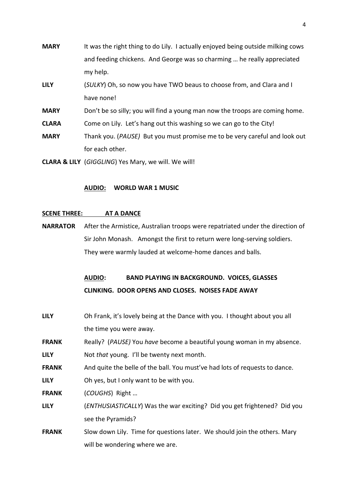| <b>MARY</b>  | It was the right thing to do Lily. I actually enjoyed being outside milking cows |
|--------------|----------------------------------------------------------------------------------|
|              | and feeding chickens. And George was so charming  he really appreciated          |
|              | my help.                                                                         |
| <b>LILY</b>  | (SULKY) Oh, so now you have TWO beaus to choose from, and Clara and I            |
|              | have none!                                                                       |
| <b>MARY</b>  | Don't be so silly; you will find a young man now the troops are coming home.     |
| <b>CLARA</b> | Come on Lily. Let's hang out this washing so we can go to the City!              |
| <b>MARY</b>  | Thank you. (PAUSE) But you must promise me to be very careful and look out       |
|              | for each other.                                                                  |
|              |                                                                                  |

**CLARA & LILY** (*GIGGLING*) Yes Mary, we will. We will!

### **AUDIO: WORLD WAR 1 MUSIC**

### **SCENE THREE: AT A DANCE**

**NARRATOR** After the Armistice, Australian troops were repatriated under the direction of Sir John Monash. Amongst the first to return were long-serving soldiers. They were warmly lauded at welcome-home dances and balls.

## **AUDIO: BAND PLAYING IN BACKGROUND. VOICES, GLASSES CLINKING. DOOR OPENS AND CLOSES. NOISES FADE AWAY**

- **LILY** Oh Frank, it's lovely being at the Dance with you. I thought about you all the time you were away.
- **FRANK** Really? (*PAUSE)* You *have* become a beautiful young woman in my absence.
- **LILY** Not *that* young. I'll be twenty next month.
- **FRANK** And quite the belle of the ball. You must've had lots of requests to dance.
- **LILY** Oh yes, but I only want to be with you.
- **FRANK** (*COUGHS*) Right …
- **LILY** (*ENTHUSIASTICALLY*) Was the war exciting? Did you get frightened? Did you see the Pyramids?
- **FRANK** Slow down Lily. Time for questions later. We should join the others. Mary will be wondering where we are.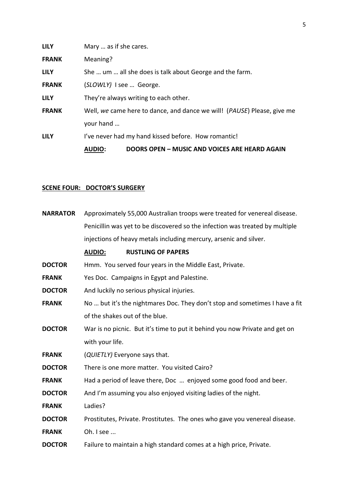|              | <b>AUDIO:</b>                                            | DOORS OPEN – MUSIC AND VOICES ARE HEARD AGAIN                                    |
|--------------|----------------------------------------------------------|----------------------------------------------------------------------------------|
| <b>LILY</b>  |                                                          | I've never had my hand kissed before. How romantic!                              |
|              | your hand                                                |                                                                                  |
| <b>FRANK</b> |                                                          | Well, we came here to dance, and dance we will! ( <i>PAUSE</i> ) Please, give me |
| <b>LILY</b>  |                                                          | They're always writing to each other.                                            |
| <b>FRANK</b> | (SLOWLY) I see  George.                                  |                                                                                  |
| <b>LILY</b>  | She  um  all she does is talk about George and the farm. |                                                                                  |
| <b>FRANK</b> | Meaning?                                                 |                                                                                  |
| <b>LILY</b>  | Mary  as if she cares.                                   |                                                                                  |

## **SCENE FOUR: DOCTOR'S SURGERY**

| <b>NARRATOR</b> | Approximately 55,000 Australian troops were treated for venereal disease.    |
|-----------------|------------------------------------------------------------------------------|
|                 | Penicillin was yet to be discovered so the infection was treated by multiple |
|                 | injections of heavy metals including mercury, arsenic and silver.            |
|                 | <b>RUSTLING OF PAPERS</b><br><b>AUDIO:</b>                                   |
| <b>DOCTOR</b>   | Hmm. You served four years in the Middle East, Private.                      |
| <b>FRANK</b>    | Yes Doc. Campaigns in Egypt and Palestine.                                   |
| <b>DOCTOR</b>   | And luckily no serious physical injuries.                                    |
| <b>FRANK</b>    | No  but it's the nightmares Doc. They don't stop and sometimes I have a fit  |
|                 | of the shakes out of the blue.                                               |
| <b>DOCTOR</b>   | War is no picnic. But it's time to put it behind you now Private and get on  |
|                 | with your life.                                                              |
| <b>FRANK</b>    | (QUIETLY) Everyone says that.                                                |
| <b>DOCTOR</b>   | There is one more matter. You visited Cairo?                                 |
| <b>FRANK</b>    | Had a period of leave there, Doc  enjoyed some good food and beer.           |
| <b>DOCTOR</b>   | And I'm assuming you also enjoyed visiting ladies of the night.              |
| <b>FRANK</b>    | Ladies?                                                                      |
| <b>DOCTOR</b>   | Prostitutes, Private. Prostitutes. The ones who gave you venereal disease.   |
| <b>FRANK</b>    | Oh. I see                                                                    |
| <b>DOCTOR</b>   | Failure to maintain a high standard comes at a high price, Private.          |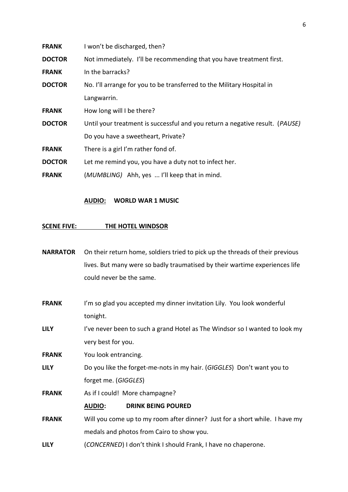| <b>FRANK</b>  | I won't be discharged, then?                                                 |
|---------------|------------------------------------------------------------------------------|
| <b>DOCTOR</b> | Not immediately. I'll be recommending that you have treatment first.         |
| <b>FRANK</b>  | In the barracks?                                                             |
| <b>DOCTOR</b> | No. I'll arrange for you to be transferred to the Military Hospital in       |
|               | Langwarrin.                                                                  |
| <b>FRANK</b>  | How long will I be there?                                                    |
| <b>DOCTOR</b> | Until your treatment is successful and you return a negative result. (PAUSE) |
|               | Do you have a sweetheart, Private?                                           |
| <b>FRANK</b>  | There is a girl I'm rather fond of.                                          |
| <b>DOCTOR</b> | Let me remind you, you have a duty not to infect her.                        |
| <b>FRANK</b>  | (MUMBLING) Ahh, yes  I'll keep that in mind.                                 |

### **AUDIO: WORLD WAR 1 MUSIC**

### **SCENE FIVE: THE HOTEL WINDSOR**

**NARRATOR** On their return home, soldiers tried to pick up the threads of their previous lives. But many were so badly traumatised by their wartime experiences life could never be the same.

**FRANK** I'm so glad you accepted my dinner invitation Lily. You look wonderful tonight.

LILY I've never been to such a grand Hotel as The Windsor so I wanted to look my very best for you.

**FRANK** You look entrancing.

**LILY** Do you like the forget-me-nots in my hair. (*GIGGLES*) Don't want you to forget me. (*GIGGLES*)

**FRANK** As if I could! More champagne?

**AUDIO: DRINK BEING POURED**

**FRANK** Will you come up to my room after dinner? Just for a short while. I have my medals and photos from Cairo to show you.

**LILY** (*CONCERNED*) I don't think I should Frank, I have no chaperone.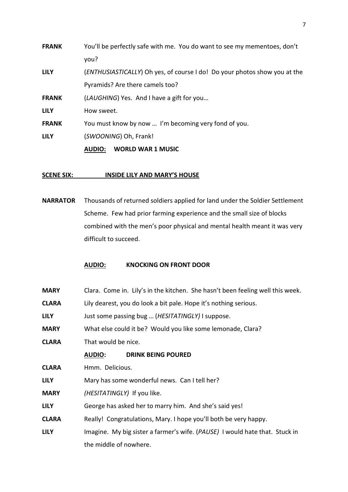|              | <b>WORLD WAR 1 MUSIC</b><br>AUDIO:                                                 |  |
|--------------|------------------------------------------------------------------------------------|--|
| <b>LILY</b>  | (SWOONING) Oh, Frank!                                                              |  |
| <b>FRANK</b> | You must know by now  I'm becoming very fond of you.                               |  |
| <b>LILY</b>  | How sweet.                                                                         |  |
| <b>FRANK</b> | (LAUGHING) Yes. And I have a gift for you                                          |  |
|              | Pyramids? Are there camels too?                                                    |  |
| <b>LILY</b>  | ( <i>ENTHUSIASTICALLY</i> ) Oh yes, of course I do! Do your photos show you at the |  |
|              | you?                                                                               |  |
| <b>FRANK</b> | You'll be perfectly safe with me. You do want to see my mementoes, don't           |  |

### **SCENE SIX: INSIDE LILY AND MARY'S HOUSE**

**NARRATOR** Thousands of returned soldiers applied for land under the Soldier Settlement Scheme. Few had prior farming experience and the small size of blocks combined with the men's poor physical and mental health meant it was very difficult to succeed.

### **AUDIO: KNOCKING ON FRONT DOOR**

| <b>MARY</b>  | Clara. Come in. Lily's in the kitchen. She hasn't been feeling well this week. |  |
|--------------|--------------------------------------------------------------------------------|--|
| <b>CLARA</b> | Lily dearest, you do look a bit pale. Hope it's nothing serious.               |  |
| <b>LILY</b>  | Just some passing bug  (HESITATINGLY) I suppose.                               |  |
| <b>MARY</b>  | What else could it be? Would you like some lemonade, Clara?                    |  |
| <b>CLARA</b> | That would be nice.                                                            |  |
|              | <b>DRINK BEING POURED</b><br><b>AUDIO:</b>                                     |  |
| <b>CLARA</b> | Hmm. Delicious.                                                                |  |
| <b>LILY</b>  | Mary has some wonderful news. Can I tell her?                                  |  |
| <b>MARY</b>  | (HESITATINGLY) If you like.                                                    |  |
| <b>LILY</b>  | George has asked her to marry him. And she's said yes!                         |  |
| <b>CLARA</b> | Really! Congratulations, Mary. I hope you'll both be very happy.               |  |
| <b>LILY</b>  | Imagine. My big sister a farmer's wife. (PAUSE) I would hate that. Stuck in    |  |
|              | the middle of nowhere.                                                         |  |
|              |                                                                                |  |